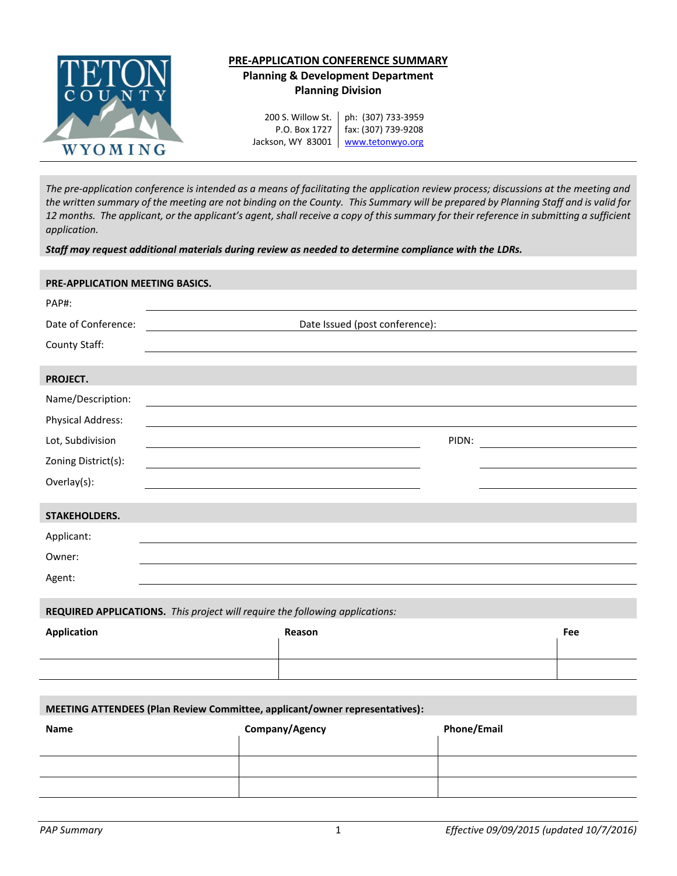

# **PRE-APPLICATION CONFERENCE SUMMARY Planning & Development Department Planning Division**

200 S. Willow St. P.O. Box 1727

Jackson, WY 83001 Www.tetonwyo.org ph: (307) 733-3959 fax: (307) 739-9208

*The pre-application conference is intended as a means of facilitating the application review process; discussions at the meeting and the written summary of the meeting are not binding on the County. This Summary will be prepared by Planning Staff and is valid for 12 months. The applicant, or the applicant's agent, shall receive a copy of this summary for their reference in submitting a sufficient application.* 

*Staff may request additional materials during review as needed to determine compliance with the LDRs.* 

# **PRE-APPLICATION MEETING BASICS.**

| PAP#:                                                                        |                                                                                                                  |     |  |  |
|------------------------------------------------------------------------------|------------------------------------------------------------------------------------------------------------------|-----|--|--|
| Date of Conference:                                                          | Date Issued (post conference):                                                                                   |     |  |  |
| County Staff:                                                                | and the control of the control of the control of the control of the control of the control of the control of the |     |  |  |
|                                                                              |                                                                                                                  |     |  |  |
| PROJECT.                                                                     |                                                                                                                  |     |  |  |
| Name/Description:                                                            |                                                                                                                  |     |  |  |
| Physical Address:                                                            |                                                                                                                  |     |  |  |
| Lot, Subdivision                                                             | PIDN:                                                                                                            |     |  |  |
| Zoning District(s):                                                          |                                                                                                                  |     |  |  |
| Overlay(s):                                                                  |                                                                                                                  |     |  |  |
|                                                                              |                                                                                                                  |     |  |  |
| STAKEHOLDERS.                                                                |                                                                                                                  |     |  |  |
| Applicant:                                                                   |                                                                                                                  |     |  |  |
| Owner:                                                                       |                                                                                                                  |     |  |  |
| Agent:                                                                       |                                                                                                                  |     |  |  |
|                                                                              |                                                                                                                  |     |  |  |
| REQUIRED APPLICATIONS. This project will require the following applications: |                                                                                                                  |     |  |  |
| <b>Application</b>                                                           | Reason                                                                                                           | Fee |  |  |
|                                                                              |                                                                                                                  |     |  |  |
|                                                                              |                                                                                                                  |     |  |  |
|                                                                              |                                                                                                                  |     |  |  |

# **MEETING ATTENDEES (Plan Review Committee, applicant/owner representatives):**

| Name | Company/Agency | <b>Phone/Email</b> |
|------|----------------|--------------------|
|      |                |                    |
|      |                |                    |
|      |                |                    |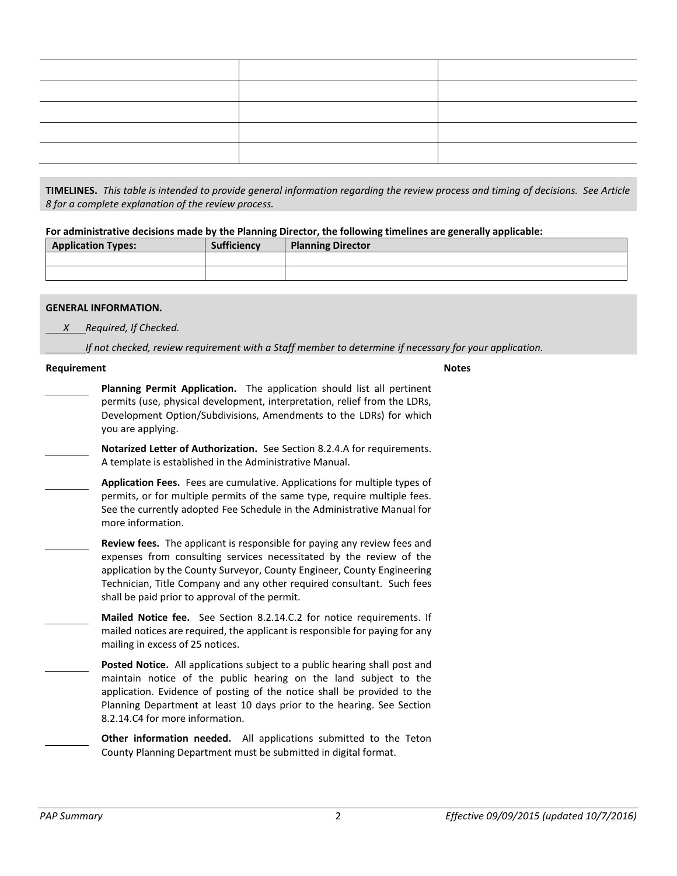**TIMELINES.** *This table is intended to provide general information regarding the review process and timing of decisions. See Article 8 for a complete explanation of the review process.*

**For administrative decisions made by the Planning Director, the following timelines are generally applicable:**

| <b>Application Types:</b> | <b>Sufficiency</b> | <b>Planning Director</b> |
|---------------------------|--------------------|--------------------------|
|                           |                    |                          |
|                           |                    |                          |

#### **GENERAL INFORMATION.**

 *X Required, If Checked.*

*If not checked, review requirement with a Staff member to determine if necessary for your application.*

#### **Requirement Notes**

**Planning Permit Application.** The application should list all pertinent permits (use, physical development, interpretation, relief from the LDRs, Development Option/Subdivisions, Amendments to the LDRs) for which you are applying.

**Notarized Letter of Authorization.** See Section 8.2.4.A for requirements. A template is established in the Administrative Manual.

**Application Fees.** Fees are cumulative. Applications for multiple types of permits, or for multiple permits of the same type, require multiple fees. See the currently adopted Fee Schedule in the Administrative Manual for more information.

**Review fees.** The applicant is responsible for paying any review fees and expenses from consulting services necessitated by the review of the application by the County Surveyor, County Engineer, County Engineering Technician, Title Company and any other required consultant. Such fees shall be paid prior to approval of the permit.

**Mailed Notice fee.** See Section 8.2.14.C.2 for notice requirements. If mailed notices are required, the applicant is responsible for paying for any mailing in excess of 25 notices.

- **Posted Notice.** All applications subject to a public hearing shall post and maintain notice of the public hearing on the land subject to the application. Evidence of posting of the notice shall be provided to the Planning Department at least 10 days prior to the hearing. See Section 8.2.14.C4 for more information.
	- **Other information needed.** All applications submitted to the Teton County Planning Department must be submitted in digital format.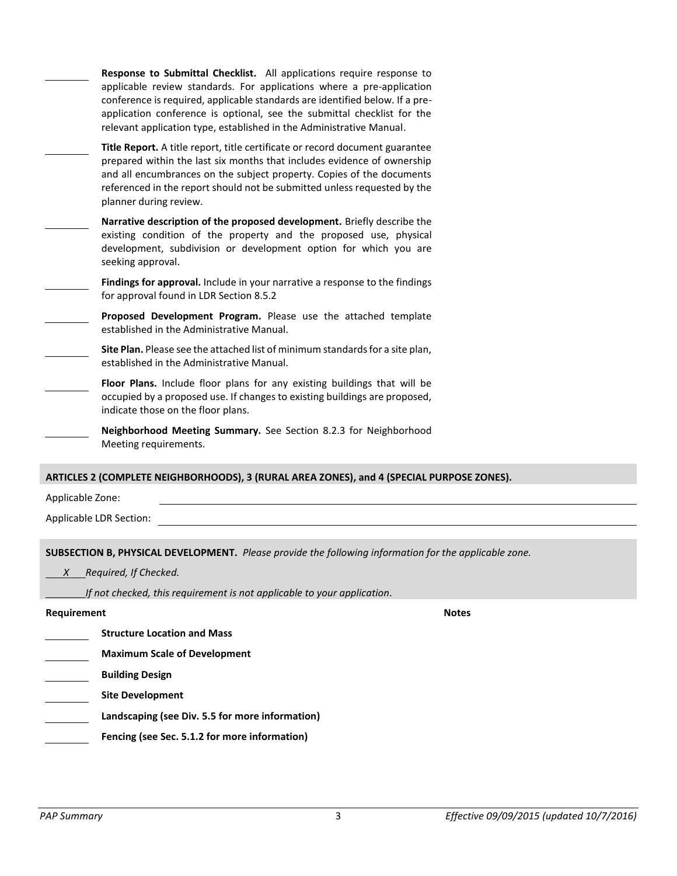|                  | Response to Submittal Checklist. All applications require response to<br>applicable review standards. For applications where a pre-application<br>conference is required, applicable standards are identified below. If a pre-<br>application conference is optional, see the submittal checklist for the<br>relevant application type, established in the Administrative Manual. |
|------------------|-----------------------------------------------------------------------------------------------------------------------------------------------------------------------------------------------------------------------------------------------------------------------------------------------------------------------------------------------------------------------------------|
|                  | Title Report. A title report, title certificate or record document guarantee<br>prepared within the last six months that includes evidence of ownership<br>and all encumbrances on the subject property. Copies of the documents<br>referenced in the report should not be submitted unless requested by the<br>planner during review.                                            |
|                  | Narrative description of the proposed development. Briefly describe the<br>existing condition of the property and the proposed use, physical<br>development, subdivision or development option for which you are<br>seeking approval.                                                                                                                                             |
|                  | Findings for approval. Include in your narrative a response to the findings<br>for approval found in LDR Section 8.5.2                                                                                                                                                                                                                                                            |
|                  | Proposed Development Program. Please use the attached template<br>established in the Administrative Manual.                                                                                                                                                                                                                                                                       |
|                  | Site Plan. Please see the attached list of minimum standards for a site plan,<br>established in the Administrative Manual.                                                                                                                                                                                                                                                        |
|                  | Floor Plans. Include floor plans for any existing buildings that will be<br>occupied by a proposed use. If changes to existing buildings are proposed,<br>indicate those on the floor plans.                                                                                                                                                                                      |
|                  | Neighborhood Meeting Summary. See Section 8.2.3 for Neighborhood<br>Meeting requirements.                                                                                                                                                                                                                                                                                         |
|                  | ARTICLES 2 (COMPLETE NEIGHBORHOODS), 3 (RURAL AREA ZONES), and 4 (SPECIAL PURPOSE ZONES).                                                                                                                                                                                                                                                                                         |
| Applicable Zone: |                                                                                                                                                                                                                                                                                                                                                                                   |
|                  | Applicable LDR Section:                                                                                                                                                                                                                                                                                                                                                           |
|                  |                                                                                                                                                                                                                                                                                                                                                                                   |
|                  | <b>SUBSECTION B, PHYSICAL DEVELOPMENT.</b> Please provide the following information for the applicable zone.                                                                                                                                                                                                                                                                      |
|                  | X Required, If Checked.                                                                                                                                                                                                                                                                                                                                                           |
| Requirement      | If not checked, this requirement is not applicable to your application.<br><b>Notes</b>                                                                                                                                                                                                                                                                                           |
|                  | <b>Structure Location and Mass</b>                                                                                                                                                                                                                                                                                                                                                |
|                  | <b>Maximum Scale of Development</b>                                                                                                                                                                                                                                                                                                                                               |
|                  | <b>Building Design</b>                                                                                                                                                                                                                                                                                                                                                            |
|                  | <b>Site Development</b>                                                                                                                                                                                                                                                                                                                                                           |
|                  | Landscaping (see Div. 5.5 for more information)                                                                                                                                                                                                                                                                                                                                   |
|                  | Fencing (see Sec. 5.1.2 for more information)                                                                                                                                                                                                                                                                                                                                     |
|                  |                                                                                                                                                                                                                                                                                                                                                                                   |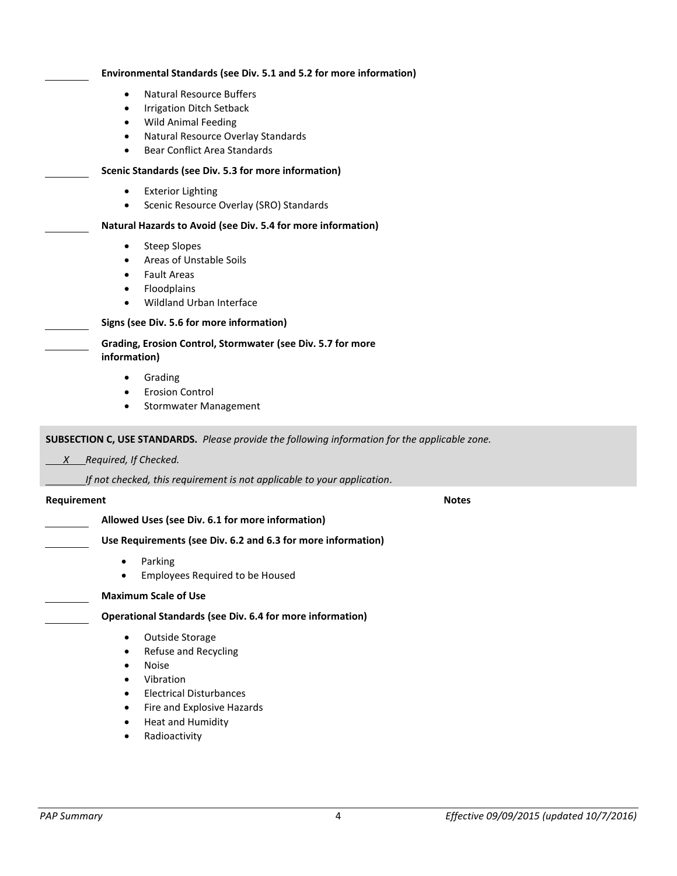| Environmental Standards (see Div. 5.1 and 5.2 for more information)                                                                                                                                                                            |
|------------------------------------------------------------------------------------------------------------------------------------------------------------------------------------------------------------------------------------------------|
| <b>Natural Resource Buffers</b><br>$\bullet$<br><b>Irrigation Ditch Setback</b><br>$\bullet$<br><b>Wild Animal Feeding</b><br>$\bullet$<br>Natural Resource Overlay Standards<br>$\bullet$<br><b>Bear Conflict Area Standards</b><br>$\bullet$ |
| Scenic Standards (see Div. 5.3 for more information)                                                                                                                                                                                           |
| <b>Exterior Lighting</b><br>$\bullet$<br>Scenic Resource Overlay (SRO) Standards                                                                                                                                                               |
| Natural Hazards to Avoid (see Div. 5.4 for more information)                                                                                                                                                                                   |
| <b>Steep Slopes</b><br>$\bullet$<br>Areas of Unstable Soils<br>$\bullet$<br><b>Fault Areas</b><br>$\bullet$<br>Floodplains<br>$\bullet$<br>Wildland Urban Interface<br>$\bullet$                                                               |
| Signs (see Div. 5.6 for more information)                                                                                                                                                                                                      |
| Grading, Erosion Control, Stormwater (see Div. 5.7 for more<br>information)                                                                                                                                                                    |
| Grading<br>٠<br><b>Erosion Control</b><br><b>Stormwater Management</b><br>٠                                                                                                                                                                    |
| <b>SUBSECTION C, USE STANDARDS.</b> Please provide the following information for the applicable zone.                                                                                                                                          |
| Required, If Checked.<br>X                                                                                                                                                                                                                     |
| If not checked, this requirement is not applicable to your application.                                                                                                                                                                        |

#### **Requirement Notes**

# **Allowed Uses (see Div. 6.1 for more information)**

# **Use Requirements (see Div. 6.2 and 6.3 for more information)**

- **•** Parking
- Employees Required to be Housed

#### **Maximum Scale of Use**

# **Operational Standards (see Div. 6.4 for more information)**

- Outside Storage
- Refuse and Recycling
- Noise
- Vibration
- Electrical Disturbances
- **•** Fire and Explosive Hazards
- Heat and Humidity
- **•** Radioactivity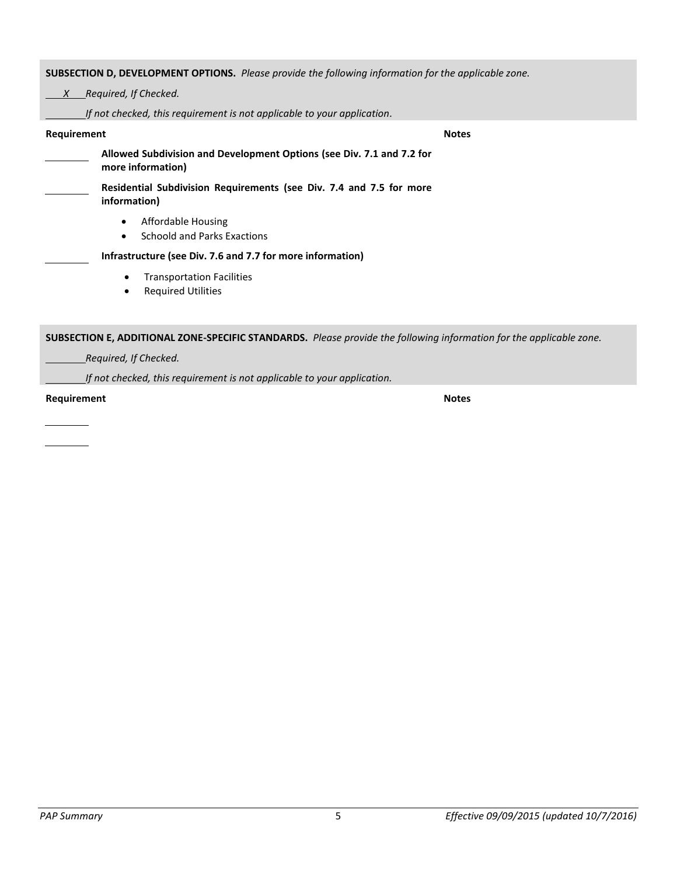**SUBSECTION D, DEVELOPMENT OPTIONS.** *Please provide the following information for the applicable zone.*

 *X Required, If Checked.*

*If not checked, this requirement is not applicable to your application.*

# **Requirement Notes Allowed Subdivision and Development Options (see Div. 7.1 and 7.2 for more information) Residential Subdivision Requirements (see Div. 7.4 and 7.5 for more information)** Affordable Housing Schoold and Parks Exactions **Infrastructure (see Div. 7.6 and 7.7 for more information) •** Transportation Facilities **•** Required Utilities **SUBSECTION E, ADDITIONAL ZONE-SPECIFIC STANDARDS.** *Please provide the following information for the applicable zone.*

 *Required, If Checked.*

*If not checked, this requirement is not applicable to your application.*

**Requirement Notes**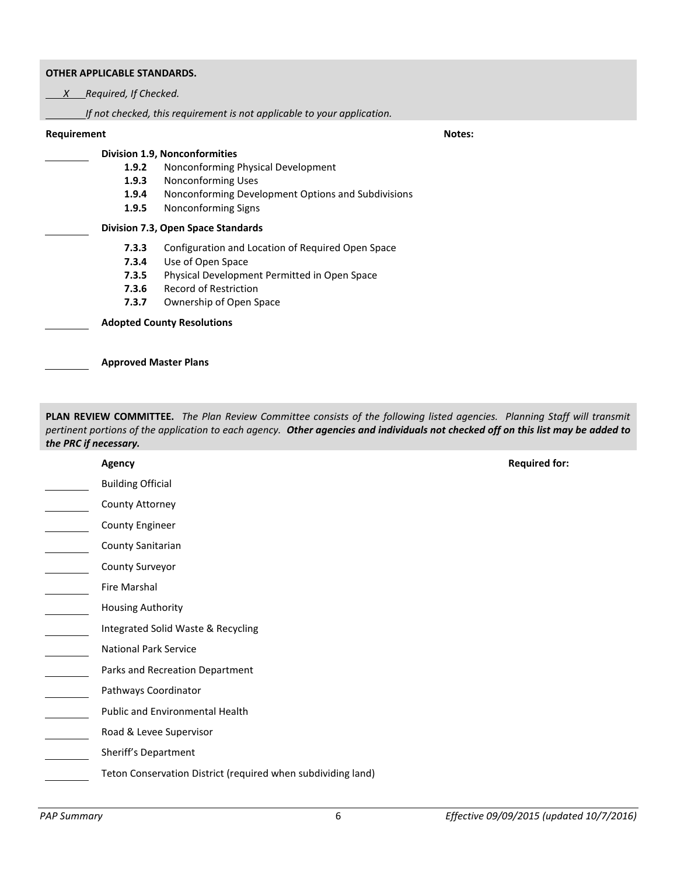#### **OTHER APPLICABLE STANDARDS.**

 *X Required, If Checked.*

*If not checked, this requirement is not applicable to your application.*

### **Requirement Notes:**

# **Division 1.9, Nonconformities**

- **1.9.2** Nonconforming Physical Development
- **1.9.3** Nonconforming Uses
- **1.9.4** Nonconforming Development Options and Subdivisions
- **1.9.5** Nonconforming Signs

# **Division 7.3, Open Space Standards**

- **7.3.3** Configuration and Location of Required Open Space
- **7.3.4** Use of Open Space
- **7.3.5** Physical Development Permitted in Open Space
- **7.3.6** Record of Restriction
- **7.3.7** Ownership of Open Space

**Adopted County Resolutions**

**Approved Master Plans**

**PLAN REVIEW COMMITTEE.** *The Plan Review Committee consists of the following listed agencies. Planning Staff will transmit pertinent portions of the application to each agency. Other agencies and individuals not checked off on this list may be added to the PRC if necessary.*

| <b>Agency</b>                                                | <b>Required for:</b> |
|--------------------------------------------------------------|----------------------|
| <b>Building Official</b>                                     |                      |
| County Attorney                                              |                      |
| County Engineer                                              |                      |
| County Sanitarian                                            |                      |
| County Surveyor                                              |                      |
| Fire Marshal                                                 |                      |
| <b>Housing Authority</b>                                     |                      |
| Integrated Solid Waste & Recycling                           |                      |
| <b>National Park Service</b>                                 |                      |
| Parks and Recreation Department                              |                      |
| Pathways Coordinator                                         |                      |
| Public and Environmental Health                              |                      |
| Road & Levee Supervisor                                      |                      |
| Sheriff's Department                                         |                      |
| Teton Conservation District (required when subdividing land) |                      |